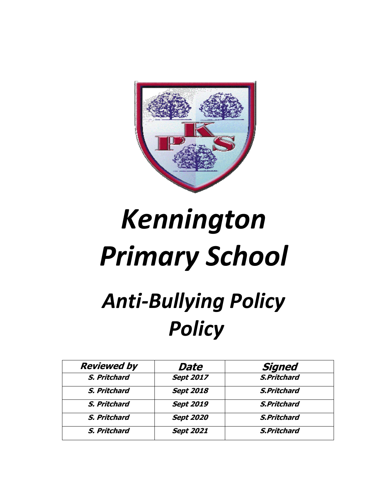

# *Kennington Primary School*

## *Anti-Bullying Policy Policy*

| <b>Reviewed by</b> | Date             | <b>Signed</b>      |
|--------------------|------------------|--------------------|
| S. Pritchard       | <b>Sept 2017</b> | <b>S.Pritchard</b> |
| S. Pritchard       | <b>Sept 2018</b> | <b>S.Pritchard</b> |
| S. Pritchard       | <b>Sept 2019</b> | <b>S.Pritchard</b> |
| S. Pritchard       | <b>Sept 2020</b> | <b>S.Pritchard</b> |
| S. Pritchard       | <b>Sept 2021</b> | <b>S.Pritchard</b> |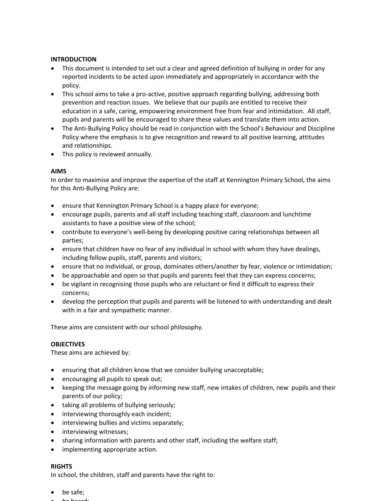#### **INTRODUCTION**

- This document is intended to set out a clear and agreed definition of bullying in order for any reported incidents to be acted upon immediately and appropriately in accordance with the policy.
- This school aims to take a pro-active, positive approach regarding bullying, addressing both prevention and reaction issues. We believe that our pupils are entitled to receive their education in a safe, caring, empowering environment free from fear and intimidation. All staff, pupils and parents will be encouraged to share these values and translate them into action.
- The Anti-Bullying Policy should be read in conjunction with the School's Behaviour and Discipline Policy where the emphasis is to give recognition and reward to all positive learning, attitudes and relationships.
- This policy is reviewed annually.

#### **AIMS**

In order to maximise and improve the expertise of the staff at Kennington Primary School, the aims for this Anti-Bullying Policy are:

- ensure that Kennington Primary School is a happy place for everyone;
- encourage pupils, parents and all staff including teaching staff, classroom and lunchtime assistants to have a positive view of the school;
- contribute to everyone's well-being by developing positive caring relationships between all parties;
- ensure that children have no fear of any individual in school with whom they have dealings, including fellow pupils, staff, parents and visitors;
- ensure that no individual, or group, dominates others/another by fear, violence or intimidation;
- be approachable and open so that pupils and parents feel that they can express concerns;
- be vigilant in recognising those pupils who are reluctant or find it difficult to express their concerns;
- develop the perception that pupils and parents will be listened to with understanding and dealt with in a fair and sympathetic manner.

These aims are consistent with our school philosophy.

#### **OBJECTIVES**

These aims are achieved by:

- ensuring that all children know that we consider bullying unacceptable;
- encouraging all pupils to speak out;
- keeping the message going by informing new staff, new intakes of children, new pupils and their parents of our policy;
- taking all problems of bullying seriously;
- interviewing thoroughly each incident;
- interviewing bullies and victims separately;
- interviewing witnesses;
- sharing information with parents and other staff, including the welfare staff;
- implementing appropriate action.

#### **RIGHTS**

In school, the children, staff and parents have the right to:

- be safe;
- be heard;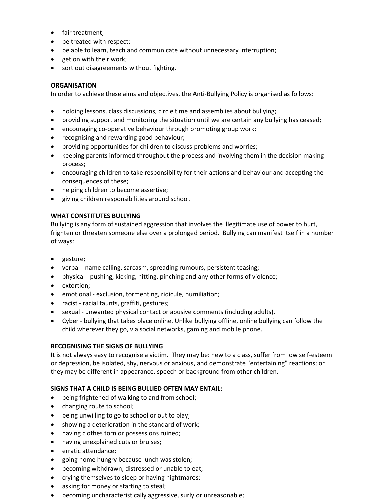- fair treatment;
- be treated with respect;
- be able to learn, teach and communicate without unnecessary interruption;
- get on with their work;
- sort out disagreements without fighting.

#### **ORGANISATION**

In order to achieve these aims and objectives, the Anti-Bullying Policy is organised as follows:

- holding lessons, class discussions, circle time and assemblies about bullying;
- providing support and monitoring the situation until we are certain any bullying has ceased;
- encouraging co-operative behaviour through promoting group work;
- recognising and rewarding good behaviour;
- providing opportunities for children to discuss problems and worries;
- keeping parents informed throughout the process and involving them in the decision making process;
- encouraging children to take responsibility for their actions and behaviour and accepting the consequences of these;
- helping children to become assertive;
- giving children responsibilities around school.

#### **WHAT CONSTITUTES BULLYING**

Bullying is any form of sustained aggression that involves the illegitimate use of power to hurt, frighten or threaten someone else over a prolonged period. Bullying can manifest itself in a number of ways:

- gesture;
- verbal name calling, sarcasm, spreading rumours, persistent teasing;
- physical pushing, kicking, hitting, pinching and any other forms of violence;
- extortion;
- emotional exclusion, tormenting, ridicule, humiliation;
- racist racial taunts, graffiti, gestures;
- sexual unwanted physical contact or abusive comments (including adults).
- Cyber bullying that takes place online. Unlike bullying offline, online bullying can follow the child wherever they go, via social networks, gaming and mobile phone.

#### **RECOGNISING THE SIGNS OF BULLYING**

It is not always easy to recognise a victim. They may be: new to a class, suffer from low self-esteem or depression, be isolated, shy, nervous or anxious, and demonstrate "entertaining" reactions; or they may be different in appearance, speech or background from other children.

#### **SIGNS THAT A CHILD IS BEING BULLIED OFTEN MAY ENTAIL:**

- being frightened of walking to and from school;
- changing route to school;
- being unwilling to go to school or out to play;
- showing a deterioration in the standard of work;
- having clothes torn or possessions ruined;
- having unexplained cuts or bruises;
- erratic attendance;
- going home hungry because lunch was stolen;
- becoming withdrawn, distressed or unable to eat;
- crying themselves to sleep or having nightmares;
- asking for money or starting to steal;
- becoming uncharacteristically aggressive, surly or unreasonable;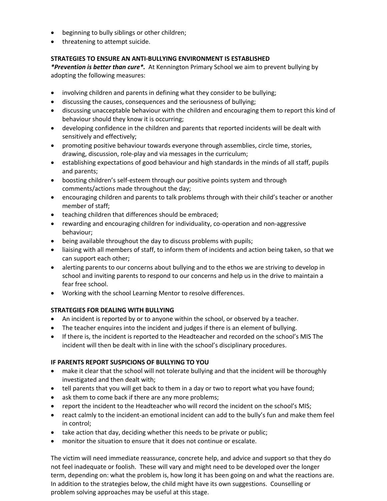- beginning to bully siblings or other children;
- threatening to attempt suicide.

#### **STRATEGIES TO ENSURE AN ANTI-BULLYING ENVIRONMENT IS ESTABLISHED**

*\*Prevention is better than cure\*.* At Kennington Primary School we aim to prevent bullying by adopting the following measures:

- involving children and parents in defining what they consider to be bullying;
- discussing the causes, consequences and the seriousness of bullying;
- discussing unacceptable behaviour with the children and encouraging them to report this kind of behaviour should they know it is occurring;
- developing confidence in the children and parents that reported incidents will be dealt with sensitively and effectively;
- promoting positive behaviour towards everyone through assemblies, circle time, stories, drawing, discussion, role-play and via messages in the curriculum;
- establishing expectations of good behaviour and high standards in the minds of all staff, pupils and parents;
- boosting children's self-esteem through our positive points system and through comments/actions made throughout the day;
- encouraging children and parents to talk problems through with their child's teacher or another member of staff;
- teaching children that differences should be embraced;
- rewarding and encouraging children for individuality, co-operation and non-aggressive behaviour;
- being available throughout the day to discuss problems with pupils;
- liaising with all members of staff, to inform them of incidents and action being taken, so that we can support each other;
- alerting parents to our concerns about bullying and to the ethos we are striving to develop in school and inviting parents to respond to our concerns and help us in the drive to maintain a fear free school.
- Working with the school Learning Mentor to resolve differences.

#### **STRATEGIES FOR DEALING WITH BULLYING**

- An incident is reported by or to anyone within the school, or observed by a teacher.
- The teacher enquires into the incident and judges if there is an element of bullying.
- If there is, the incident is reported to the Headteacher and recorded on the school's MIS The incident will then be dealt with in line with the school's disciplinary procedures.

#### **IF PARENTS REPORT SUSPICIONS OF BULLYING TO YOU**

- make it clear that the school will not tolerate bullying and that the incident will be thoroughly investigated and then dealt with;
- tell parents that you will get back to them in a day or two to report what you have found;
- ask them to come back if there are any more problems;
- report the incident to the Headteacher who will record the incident on the school's MIS;
- react calmly to the incident-an emotional incident can add to the bully's fun and make them feel in control;
- take action that day, deciding whether this needs to be private or public;
- monitor the situation to ensure that it does not continue or escalate.

The victim will need immediate reassurance, concrete help, and advice and support so that they do not feel inadequate or foolish. These will vary and might need to be developed over the longer term, depending on: what the problem is, how long it has been going on and what the reactions are. In addition to the strategies below, the child might have its own suggestions. Counselling or problem solving approaches may be useful at this stage.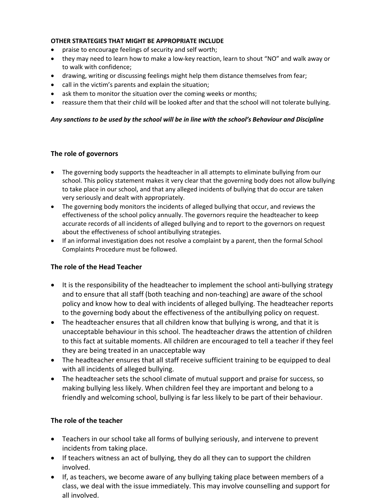#### **OTHER STRATEGIES THAT MIGHT BE APPROPRIATE INCLUDE**

- praise to encourage feelings of security and self worth;
- they may need to learn how to make a low-key reaction, learn to shout "NO" and walk away or to walk with confidence;
- drawing, writing or discussing feelings might help them distance themselves from fear;
- call in the victim's parents and explain the situation;
- ask them to monitor the situation over the coming weeks or months;
- reassure them that their child will be looked after and that the school will not tolerate bullying.

#### *Any sanctions to be used by the school will be in line with the school's Behaviour and Discipline*

#### **The role of governors**

- The governing body supports the headteacher in all attempts to eliminate bullying from our school. This policy statement makes it very clear that the governing body does not allow bullying to take place in our school, and that any alleged incidents of bullying that do occur are taken very seriously and dealt with appropriately.
- The governing body monitors the incidents of alleged bullying that occur, and reviews the effectiveness of the school policy annually. The governors require the headteacher to keep accurate records of all incidents of alleged bullying and to report to the governors on request about the effectiveness of school antibullying strategies.
- If an informal investigation does not resolve a complaint by a parent, then the formal School Complaints Procedure must be followed.

#### **The role of the Head Teacher**

- It is the responsibility of the headteacher to implement the school anti-bullying strategy and to ensure that all staff (both teaching and non-teaching) are aware of the school policy and know how to deal with incidents of alleged bullying. The headteacher reports to the governing body about the effectiveness of the antibullying policy on request.
- The headteacher ensures that all children know that bullying is wrong, and that it is unacceptable behaviour in this school. The headteacher draws the attention of children to this fact at suitable moments. All children are encouraged to tell a teacher if they feel they are being treated in an unacceptable way
- The headteacher ensures that all staff receive sufficient training to be equipped to deal with all incidents of alleged bullying.
- The headteacher sets the school climate of mutual support and praise for success, so making bullying less likely. When children feel they are important and belong to a friendly and welcoming school, bullying is far less likely to be part of their behaviour.

#### **The role of the teacher**

- Teachers in our school take all forms of bullying seriously, and intervene to prevent incidents from taking place.
- If teachers witness an act of bullying, they do all they can to support the children involved.
- If, as teachers, we become aware of any bullying taking place between members of a class, we deal with the issue immediately. This may involve counselling and support for all involved.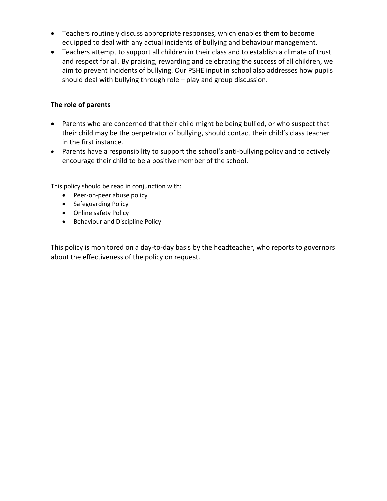- Teachers routinely discuss appropriate responses, which enables them to become equipped to deal with any actual incidents of bullying and behaviour management.
- Teachers attempt to support all children in their class and to establish a climate of trust and respect for all. By praising, rewarding and celebrating the success of all children, we aim to prevent incidents of bullying. Our PSHE input in school also addresses how pupils should deal with bullying through role – play and group discussion.

#### **The role of parents**

- Parents who are concerned that their child might be being bullied, or who suspect that their child may be the perpetrator of bullying, should contact their child's class teacher in the first instance.
- Parents have a responsibility to support the school's anti-bullying policy and to actively encourage their child to be a positive member of the school.

This policy should be read in conjunction with:

- Peer-on-peer abuse policy
- Safeguarding Policy
- Online safety Policy
- Behaviour and Discipline Policy

This policy is monitored on a day-to-day basis by the headteacher, who reports to governors about the effectiveness of the policy on request.